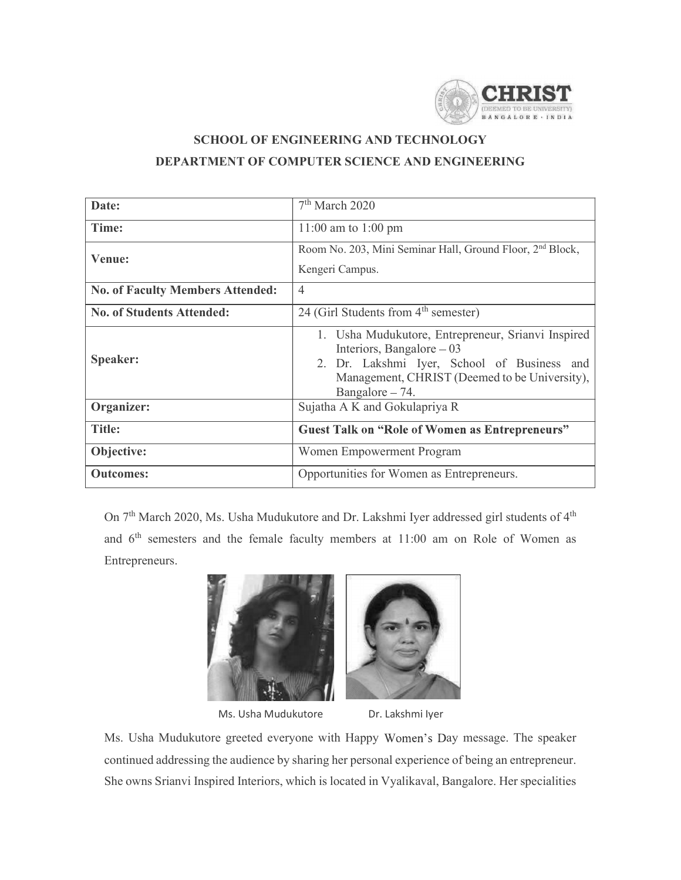

# SCHOOL OF ENGINEERING AND TECHNOLOGY DEPARTMENT OF COMPUTER SCIENCE AND ENGINEERING

|                                         | <b>CHRIST</b><br>BANGALORE . INDIA                                                                                                                                                                                 |
|-----------------------------------------|--------------------------------------------------------------------------------------------------------------------------------------------------------------------------------------------------------------------|
|                                         | <b>SCHOOL OF ENGINEERING AND TECHNOLOGY</b><br>DEPARTMENT OF COMPUTER SCIENCE AND ENGINEERING                                                                                                                      |
| Date:                                   | 7 <sup>th</sup> March 2020                                                                                                                                                                                         |
| Time:                                   | 11:00 am to 1:00 pm                                                                                                                                                                                                |
| Venue:                                  | Room No. 203, Mini Seminar Hall, Ground Floor, 2 <sup>nd</sup> Block,<br>Kengeri Campus.                                                                                                                           |
| <b>No. of Faculty Members Attended:</b> | $\overline{4}$                                                                                                                                                                                                     |
| <b>No. of Students Attended:</b>        | 24 (Girl Students from 4 <sup>th</sup> semester)                                                                                                                                                                   |
| Speaker:                                | 1. Usha Mudukutore, Entrepreneur, Srianvi Inspired<br>Interiors, Bangalore - 03<br>2. Dr. Lakshmi Iyer, School of Business and<br>Management, CHRIST (Deemed to be University),<br>Bangalore - 74.                 |
| Organizer:                              | Sujatha A K and Gokulapriya R                                                                                                                                                                                      |
| <b>Title:</b>                           | <b>Guest Talk on "Role of Women as Entrepreneurs"</b>                                                                                                                                                              |
| Objective:                              | Women Empowerment Program                                                                                                                                                                                          |
| <b>Outcomes:</b>                        | Opportunities for Women as Entrepreneurs.                                                                                                                                                                          |
| Entrepreneurs.                          | On 7 <sup>th</sup> March 2020, Ms. Usha Mudukutore and Dr. Lakshmi Iyer addressed girl students of 4 <sup>th</sup><br>and 6 <sup>th</sup> semesters and the female faculty members at 11:00 am on Role of Women as |

Entrepreneurs. Ms. Usha Mudukutore<br>
Ms. Usha Mudukutore and Dr. Lakshmi lyer addressed girl students of 4<sup>th</sup><br>
Ms. Usha Mudukutore and the female faculty members at 11:00 am on Role of Women as<br>
Entrepreneurs.<br>
Entrepreneurs.<br>
Ms. Usha M comes:<br>
On 7<sup>th</sup> March 2020, Ms. Usha Mudukutore and Dr. Lakshmi Iyer addressed girl students of 4<sup>th</sup><br>
and 6<sup>th</sup> semesters and the female faculty members at 11:00 am on Role of Women as<br>
Entrepreneurs.<br>
Entrepreneurs.<br>
Ms





Ms. Usha Mudukutore Dr. Lakshmi Iyer

She owns Srianvi Inspired Interiors, which is located in Vyalikaval, Bangalore. Her specialities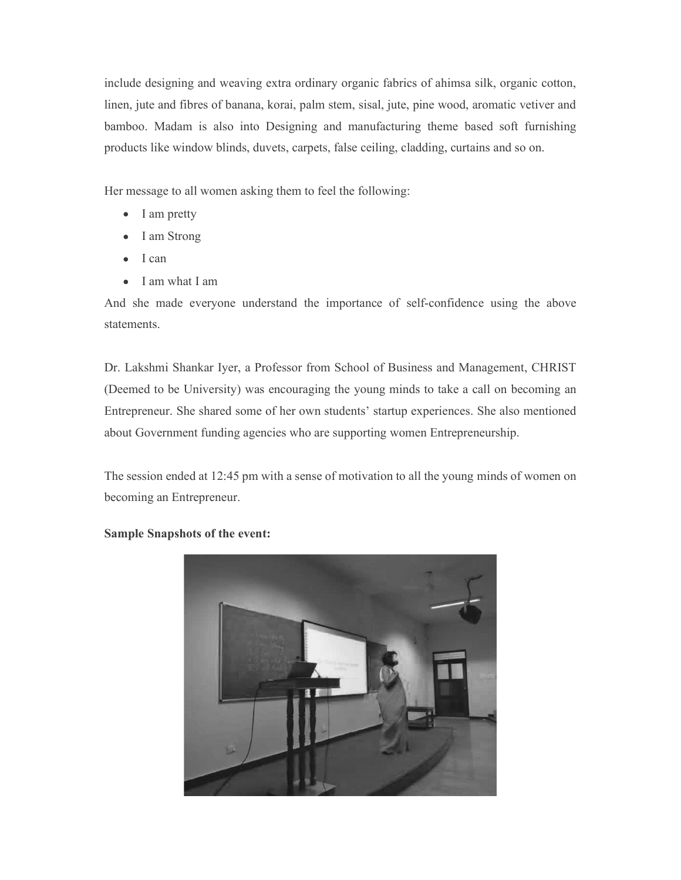include designing and weaving extra ordinary organic fabrics of ahimsa silk, organic cotton, linen, jute and fibres of banana, korai, palm stem, sisal, jute, pine wood, aromatic vetiver and include designing and weaving extra ordinary organic fabrics of ahimsa silk, organic cotton,<br>linen, jute and fibres of banana, korai, palm stem, sisal, jute, pine wood, aromatic vetiver and<br>bamboo. Madam is also into Desig products like window blinds, duvets, carpets, false ceiling, cladding, curtains and so on. include designing and weaving extra ordinary organic fabrics of ahimsa silk, organic cotton,<br>thinen, jute and fibres of banana, korai, palm stem, sisal, jute, pine wood, aromatic vetiver and<br>bamboo. Madam is also into Desi

Her message to all women asking them to feel the following:

- I am pretty
- I am Strong
- I can
- I am what I am

statements.

include designing and weaving extra ordinary organic fabrics of ahimsa silk, organic cotton,<br>
ilnen, jute and fibres of banana, korai, palm stem, sisal, jute, pine wood, aromatic vetiver and<br>
bamboo. Madam is also into Des linen, jute and fibres of banana, korai, palm stem, sisal, jute, pine wood, aromatic vetiver and<br>bamboo. Madam is also into Designing and manufacturing theme based soft furnishing<br>products like window blinds, duvets, carpe bamboo. Madam is also into Designing and manufacturing theme based soft furnishing<br>products like window blinds, duvets, carpets, false ceiling, cladding, curtains and so on.<br>
Her message to all women asking them to feel th about Government funding agencies who are supporting women Entrepreneurship.

The session ended at 12:45 pm with a sense of motivation to all the young minds of women on becoming an Entrepreneur.



Sample Snapshots of the event: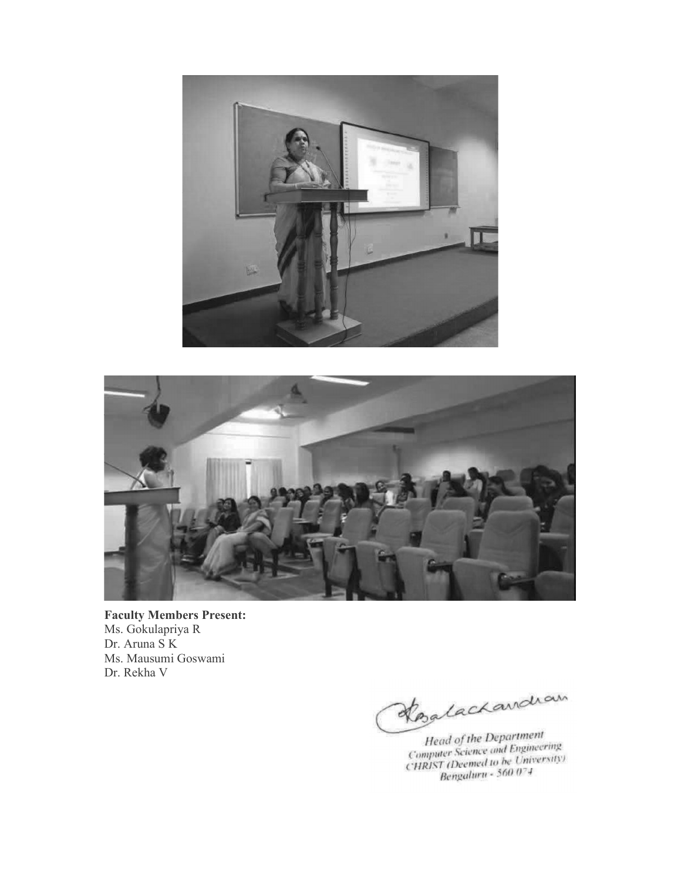



Faculty Members Present: Ms. Gokulapriya R Dr. Aruna S K Ms. Mausumi Goswami Dr. Rekha V

Kozlachandian

Head of the Department<br>Computer Science and Engineering<br>CHRIST (Deemed to be University)<br>Bengaluru - 560 074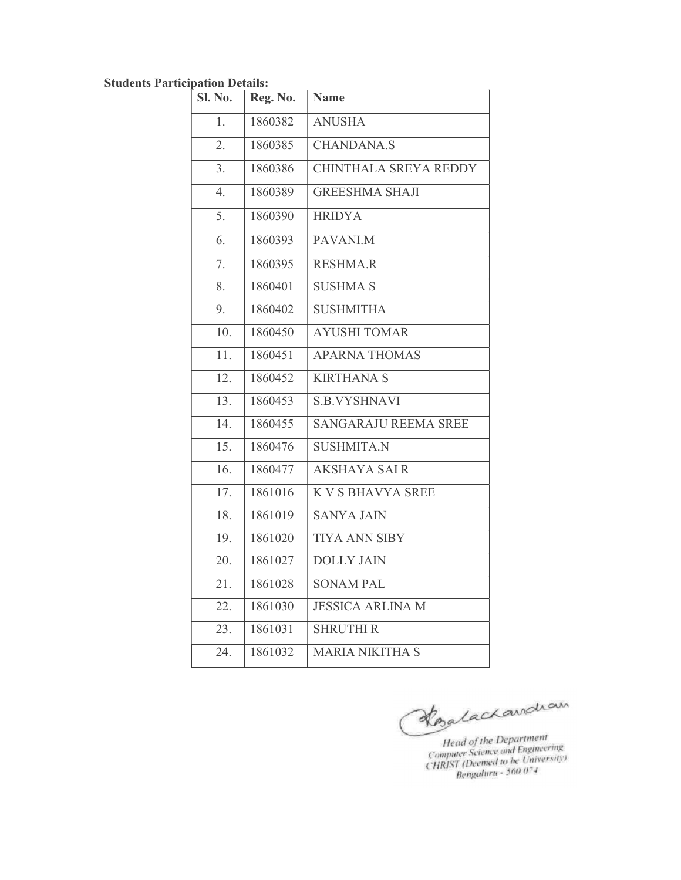| <b>Students Participation Details:</b> |          |                         |
|----------------------------------------|----------|-------------------------|
| Sl. No.                                | Reg. No. | <b>Name</b>             |
| 1.                                     | 1860382  | <b>ANUSHA</b>           |
| 2.                                     | 1860385  | <b>CHANDANA.S</b>       |
| 3.                                     | 1860386  | CHINTHALA SREYA REDDY   |
| 4.                                     | 1860389  | <b>GREESHMA SHAJI</b>   |
| 5.                                     | 1860390  | <b>HRIDYA</b>           |
| 6.                                     | 1860393  | PAVANI.M                |
| 7.                                     | 1860395  | <b>RESHMA.R</b>         |
| 8.                                     | 1860401  | <b>SUSHMA S</b>         |
| 9.                                     | 1860402  | <b>SUSHMITHA</b>        |
| 10.                                    | 1860450  | <b>AYUSHI TOMAR</b>     |
| 11.                                    | 1860451  | <b>APARNA THOMAS</b>    |
| 12.                                    | 1860452  | <b>KIRTHANA S</b>       |
| 13.                                    | 1860453  | <b>S.B.VYSHNAVI</b>     |
| 14.                                    | 1860455  | SANGARAJU REEMA SREE    |
| 15.                                    | 1860476  | <b>SUSHMITA.N</b>       |
| 16.                                    | 1860477  | <b>AKSHAYA SAIR</b>     |
| 17.                                    | 1861016  | K V S BHAVYA SREE       |
| 18.                                    | 1861019  | <b>SANYA JAIN</b>       |
| 19.                                    | 1861020  | TIYA ANN SIBY           |
| 20.                                    | 1861027  | <b>DOLLY JAIN</b>       |
| 21.                                    | 1861028  | <b>SONAM PAL</b>        |
| 22.                                    | 1861030  | <b>JESSICA ARLINA M</b> |
| 23.                                    | 1861031  | <b>SHRUTHI R</b>        |
| 24.                                    | 1861032  | MARIA NIKITHA S         |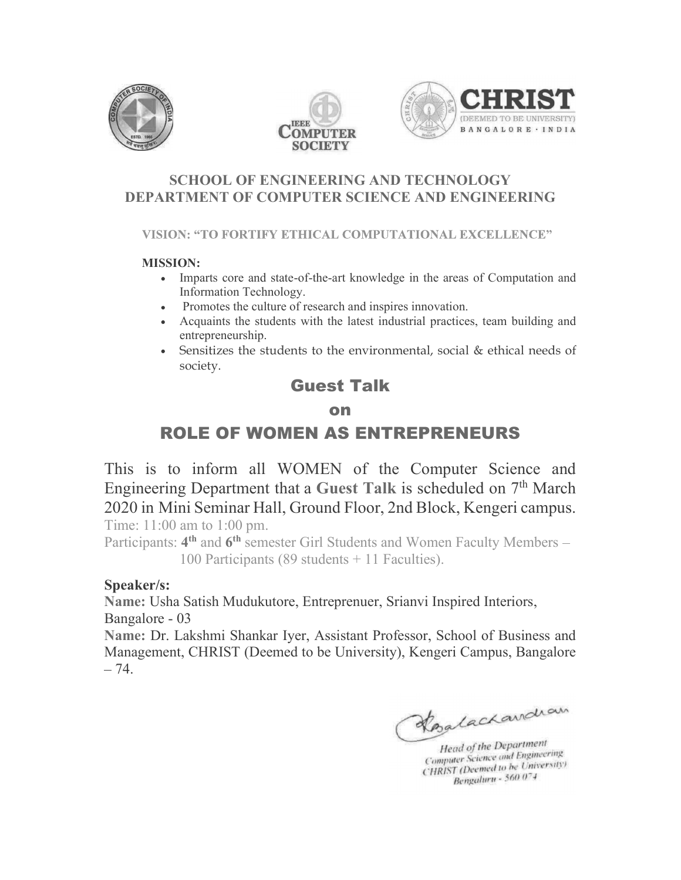





### SCHOOL OF ENGINEERING AND TECHNOLOGY DEPARTMENT OF COMPUTER SCIENCE AND ENGINEERING

#### MISSION:

- Imparts core and state-of-the-art knowledge in the areas of Computation and Information Technology.
- Promotes the culture of research and inspires innovation.
- Acquaints the students with the latest industrial practices, team building and entrepreneurship.
- Sensitizes the students to the environmental, social & ethical needs of society.

# Guest Talk

### on

# ROLE OF WOMEN AS ENTREPRENEURS

This is to inform all WOMEN of the Computer Science and Engineering Department that a Guest Talk is scheduled on 7<sup>th</sup> March **ENTIRENT:** THE CONFURTED AND DESCRIMING THE MARKET MANUSION:<br> **MISSION:** CONFURTED A COMPUTATIONAL EXCELLENCE"<br> **MISSION:**<br>
Computation Technology.<br>
Promotes the culture of research and inspires innovation.<br>
A computatio VISION: "TO FORTIFY ETHICAL COMPUTATIONAL EXCELLENCE"<br> **MISSION:**<br> **Computation Technology.**<br> **Computation Technology.**<br> **Computation Freminarion Freminary Process the students with the latest industrial practices, team b** Time: 11:00 am to 1:00 pm. Acquaints the students with the latest industrial practices, team building and<br>
entrepreneurship.<br>
Curest External, social & ethical needs of<br>
society.<br> **Guest Talk**<br> **ROLE OF WOMEN AS ENTREPRENEURS**<br>
This is to inform al entrepreneurship.<br> **Guest Talk**<br> **Guest Talk**<br> **Guest Talk**<br> **Guest Talk**<br> **On**<br> **ROLE OF WOMEN AS ENTREPRENEURS**<br>
This is to inform all WOMEN of the Computer Science<br>
Engineering Department that a Guest Talk is scheduled

Participants: 4<sup>th</sup> and 6<sup>th</sup> semester Girl Students and Women Faculty Members 100 Participants (89 students + 11 Faculties).

### Speaker/s:

Name: Dr. Lakshmi Shankar Iyer, Assistant Professor, School of Business and Management, CHRIST (Deemed to be University), Kengeri Campus, Bangalore  $-74.$ 

Kozlachandran

Head of the Department Head of the Department<br>Computer Science and Engineering Computer Science and Engineersity)<br>CHRIST (Deemed to be University) Bengaluru - 560 074